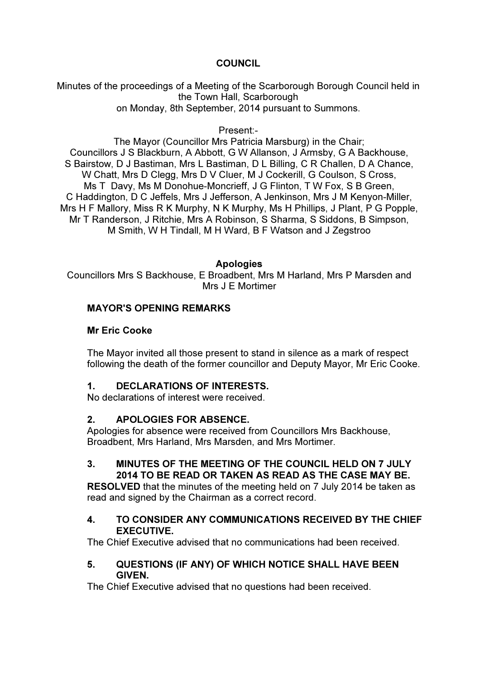# **COUNCIL**

Minutes of the proceedings of a Meeting of the Scarborough Borough Council held in the Town Hall, Scarborough on Monday, 8th September, 2014 pursuant to Summons.

Present:-

The Mayor (Councillor Mrs Patricia Marsburg) in the Chair; Councillors J S Blackburn, A Abbott, G W Allanson, J Armsby, G A Backhouse, S Bairstow, D J Bastiman, Mrs L Bastiman, D L Billing, C R Challen, D A Chance, W Chatt, Mrs D Clegg, Mrs D V Cluer, M J Cockerill, G Coulson, S Cross, Ms T Davy, Ms M Donohue-Moncrieff, J G Flinton, T W Fox, S B Green, C Haddington, D C Jeffels, Mrs J Jefferson, A Jenkinson, Mrs J M Kenyon-Miller, Mrs H F Mallory, Miss R K Murphy, N K Murphy, Ms H Phillips, J Plant, P G Popple, Mr T Randerson, J Ritchie, Mrs A Robinson, S Sharma, S Siddons, B Simpson, M Smith, W H Tindall, M H Ward, B F Watson and J Zegstroo

#### Apologies

Councillors Mrs S Backhouse, E Broadbent, Mrs M Harland, Mrs P Marsden and Mrs J E Mortimer

## MAYOR'S OPENING REMARKS

#### Mr Eric Cooke

The Mayor invited all those present to stand in silence as a mark of respect following the death of the former councillor and Deputy Mayor, Mr Eric Cooke.

## 1. DECLARATIONS OF INTERESTS.

No declarations of interest were received.

## 2. APOLOGIES FOR ABSENCE.

Apologies for absence were received from Councillors Mrs Backhouse, Broadbent, Mrs Harland, Mrs Marsden, and Mrs Mortimer.

# 3. MINUTES OF THE MEETING OF THE COUNCIL HELD ON 7 JULY 2014 TO BE READ OR TAKEN AS READ AS THE CASE MAY BE.

RESOLVED that the minutes of the meeting held on 7 July 2014 be taken as read and signed by the Chairman as a correct record.

## 4. TO CONSIDER ANY COMMUNICATIONS RECEIVED BY THE CHIEF EXECUTIVE.

The Chief Executive advised that no communications had been received.

#### 5. QUESTIONS (IF ANY) OF WHICH NOTICE SHALL HAVE BEEN GIVEN.

The Chief Executive advised that no questions had been received.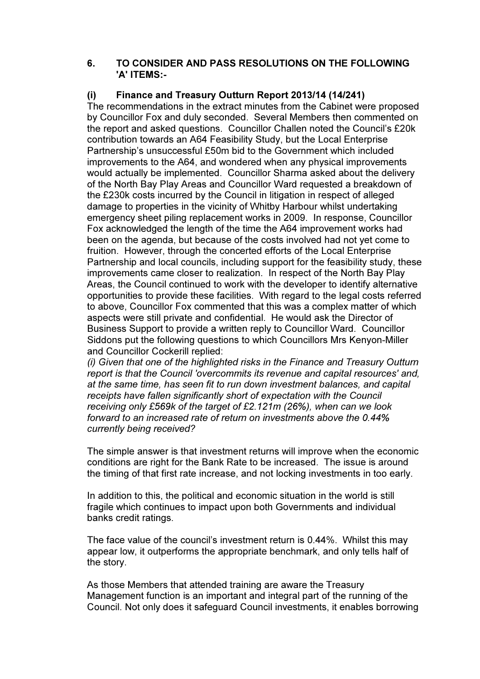#### 6. TO CONSIDER AND PASS RESOLUTIONS ON THE FOLLOWING 'A' ITEMS:-

# (i) Finance and Treasury Outturn Report 2013/14 (14/241)

The recommendations in the extract minutes from the Cabinet were proposed by Councillor Fox and duly seconded. Several Members then commented on the report and asked questions. Councillor Challen noted the Council's £20k contribution towards an A64 Feasibility Study, but the Local Enterprise Partnership's unsuccessful £50m bid to the Government which included improvements to the A64, and wondered when any physical improvements would actually be implemented. Councillor Sharma asked about the delivery of the North Bay Play Areas and Councillor Ward requested a breakdown of the £230k costs incurred by the Council in litigation in respect of alleged damage to properties in the vicinity of Whitby Harbour whilst undertaking emergency sheet piling replacement works in 2009. In response, Councillor Fox acknowledged the length of the time the A64 improvement works had been on the agenda, but because of the costs involved had not yet come to fruition. However, through the concerted efforts of the Local Enterprise Partnership and local councils, including support for the feasibility study, these improvements came closer to realization. In respect of the North Bay Play Areas, the Council continued to work with the developer to identify alternative opportunities to provide these facilities. With regard to the legal costs referred to above, Councillor Fox commented that this was a complex matter of which aspects were still private and confidential. He would ask the Director of Business Support to provide a written reply to Councillor Ward. Councillor Siddons put the following questions to which Councillors Mrs Kenyon-Miller and Councillor Cockerill replied:

(i) Given that one of the highlighted risks in the Finance and Treasury Outturn report is that the Council 'overcommits its revenue and capital resources' and, at the same time, has seen fit to run down investment balances, and capital receipts have fallen significantly short of expectation with the Council receiving only £569k of the target of £2.121m (26%), when can we look forward to an increased rate of return on investments above the 0.44% currently being received?

The simple answer is that investment returns will improve when the economic conditions are right for the Bank Rate to be increased. The issue is around the timing of that first rate increase, and not locking investments in too early.

In addition to this, the political and economic situation in the world is still fragile which continues to impact upon both Governments and individual banks credit ratings.

The face value of the council's investment return is 0.44%. Whilst this may appear low, it outperforms the appropriate benchmark, and only tells half of the story.

As those Members that attended training are aware the Treasury Management function is an important and integral part of the running of the Council. Not only does it safeguard Council investments, it enables borrowing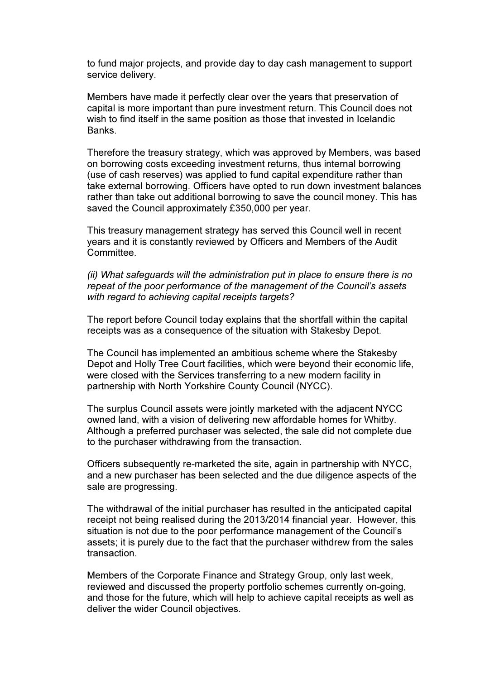to fund major projects, and provide day to day cash management to support service delivery.

Members have made it perfectly clear over the years that preservation of capital is more important than pure investment return. This Council does not wish to find itself in the same position as those that invested in Icelandic Banks.

Therefore the treasury strategy, which was approved by Members, was based on borrowing costs exceeding investment returns, thus internal borrowing (use of cash reserves) was applied to fund capital expenditure rather than take external borrowing. Officers have opted to run down investment balances rather than take out additional borrowing to save the council money. This has saved the Council approximately £350,000 per year.

This treasury management strategy has served this Council well in recent years and it is constantly reviewed by Officers and Members of the Audit Committee.

(ii) What safeguards will the administration put in place to ensure there is no repeat of the poor performance of the management of the Council's assets with regard to achieving capital receipts targets?

The report before Council today explains that the shortfall within the capital receipts was as a consequence of the situation with Stakesby Depot.

The Council has implemented an ambitious scheme where the Stakesby Depot and Holly Tree Court facilities, which were beyond their economic life, were closed with the Services transferring to a new modern facility in partnership with North Yorkshire County Council (NYCC).

The surplus Council assets were jointly marketed with the adjacent NYCC owned land, with a vision of delivering new affordable homes for Whitby. Although a preferred purchaser was selected, the sale did not complete due to the purchaser withdrawing from the transaction.

Officers subsequently re-marketed the site, again in partnership with NYCC, and a new purchaser has been selected and the due diligence aspects of the sale are progressing.

The withdrawal of the initial purchaser has resulted in the anticipated capital receipt not being realised during the 2013/2014 financial year. However, this situation is not due to the poor performance management of the Council's assets; it is purely due to the fact that the purchaser withdrew from the sales transaction.

Members of the Corporate Finance and Strategy Group, only last week, reviewed and discussed the property portfolio schemes currently on-going, and those for the future, which will help to achieve capital receipts as well as deliver the wider Council objectives.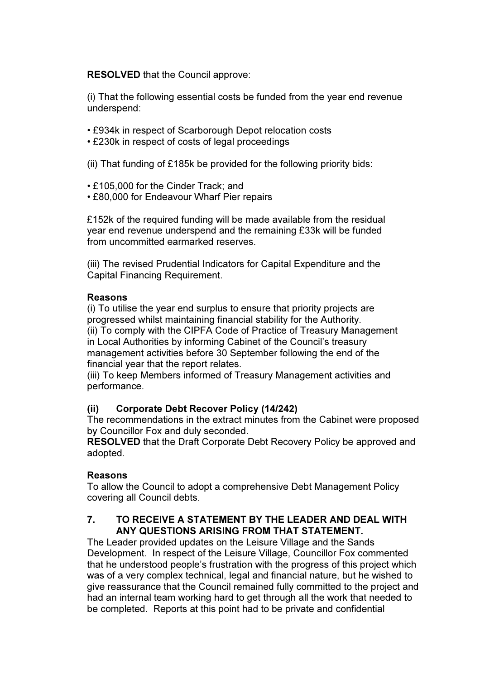RESOLVED that the Council approve:

(i) That the following essential costs be funded from the year end revenue underspend:

- £934k in respect of Scarborough Depot relocation costs
- £230k in respect of costs of legal proceedings

(ii) That funding of £185k be provided for the following priority bids:

- £105,000 for the Cinder Track; and
- £80,000 for Endeavour Wharf Pier repairs

£152k of the required funding will be made available from the residual year end revenue underspend and the remaining £33k will be funded from uncommitted earmarked reserves.

(iii) The revised Prudential Indicators for Capital Expenditure and the Capital Financing Requirement.

#### Reasons

(i) To utilise the year end surplus to ensure that priority projects are progressed whilst maintaining financial stability for the Authority. (ii) To comply with the CIPFA Code of Practice of Treasury Management in Local Authorities by informing Cabinet of the Council's treasury management activities before 30 September following the end of the financial year that the report relates.

(iii) To keep Members informed of Treasury Management activities and performance.

## (ii) Corporate Debt Recover Policy (14/242)

The recommendations in the extract minutes from the Cabinet were proposed by Councillor Fox and duly seconded.

RESOLVED that the Draft Corporate Debt Recovery Policy be approved and adopted.

## Reasons

To allow the Council to adopt a comprehensive Debt Management Policy covering all Council debts.

## 7. TO RECEIVE A STATEMENT BY THE LEADER AND DEAL WITH ANY QUESTIONS ARISING FROM THAT STATEMENT.

The Leader provided updates on the Leisure Village and the Sands Development. In respect of the Leisure Village, Councillor Fox commented that he understood people's frustration with the progress of this project which was of a very complex technical, legal and financial nature, but he wished to give reassurance that the Council remained fully committed to the project and had an internal team working hard to get through all the work that needed to be completed. Reports at this point had to be private and confidential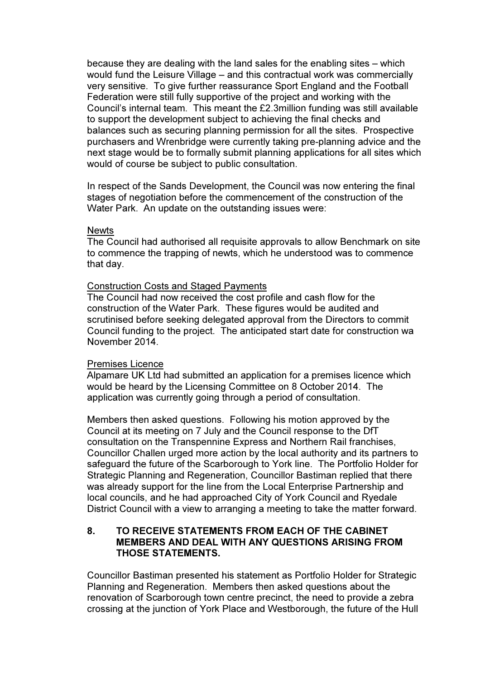because they are dealing with the land sales for the enabling sites – which would fund the Leisure Village – and this contractual work was commercially very sensitive. To give further reassurance Sport England and the Football Federation were still fully supportive of the project and working with the Council's internal team. This meant the £2.3million funding was still available to support the development subject to achieving the final checks and balances such as securing planning permission for all the sites. Prospective purchasers and Wrenbridge were currently taking pre-planning advice and the next stage would be to formally submit planning applications for all sites which would of course be subject to public consultation.

In respect of the Sands Development, the Council was now entering the final stages of negotiation before the commencement of the construction of the Water Park. An update on the outstanding issues were:

#### **Newts**

The Council had authorised all requisite approvals to allow Benchmark on site to commence the trapping of newts, which he understood was to commence that day.

## Construction Costs and Staged Payments

The Council had now received the cost profile and cash flow for the construction of the Water Park. These figures would be audited and scrutinised before seeking delegated approval from the Directors to commit Council funding to the project. The anticipated start date for construction wa November 2014.

## Premises Licence

Alpamare UK Ltd had submitted an application for a premises licence which would be heard by the Licensing Committee on 8 October 2014. The application was currently going through a period of consultation.

Members then asked questions. Following his motion approved by the Council at its meeting on 7 July and the Council response to the DfT consultation on the Transpennine Express and Northern Rail franchises, Councillor Challen urged more action by the local authority and its partners to safeguard the future of the Scarborough to York line. The Portfolio Holder for Strategic Planning and Regeneration, Councillor Bastiman replied that there was already support for the line from the Local Enterprise Partnership and local councils, and he had approached City of York Council and Ryedale District Council with a view to arranging a meeting to take the matter forward.

# 8. TO RECEIVE STATEMENTS FROM EACH OF THE CABINET MEMBERS AND DEAL WITH ANY QUESTIONS ARISING FROM THOSE STATEMENTS.

Councillor Bastiman presented his statement as Portfolio Holder for Strategic Planning and Regeneration. Members then asked questions about the renovation of Scarborough town centre precinct, the need to provide a zebra crossing at the junction of York Place and Westborough, the future of the Hull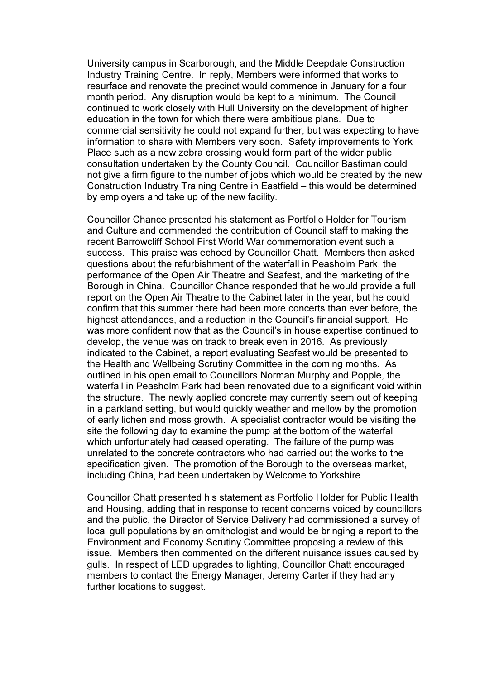University campus in Scarborough, and the Middle Deepdale Construction Industry Training Centre. In reply, Members were informed that works to resurface and renovate the precinct would commence in January for a four month period. Any disruption would be kept to a minimum. The Council continued to work closely with Hull University on the development of higher education in the town for which there were ambitious plans. Due to commercial sensitivity he could not expand further, but was expecting to have information to share with Members very soon. Safety improvements to York Place such as a new zebra crossing would form part of the wider public consultation undertaken by the County Council. Councillor Bastiman could not give a firm figure to the number of jobs which would be created by the new Construction Industry Training Centre in Eastfield – this would be determined by employers and take up of the new facility.

Councillor Chance presented his statement as Portfolio Holder for Tourism and Culture and commended the contribution of Council staff to making the recent Barrowcliff School First World War commemoration event such a success. This praise was echoed by Councillor Chatt. Members then asked questions about the refurbishment of the waterfall in Peasholm Park, the performance of the Open Air Theatre and Seafest, and the marketing of the Borough in China. Councillor Chance responded that he would provide a full report on the Open Air Theatre to the Cabinet later in the year, but he could confirm that this summer there had been more concerts than ever before, the highest attendances, and a reduction in the Council's financial support. He was more confident now that as the Council's in house expertise continued to develop, the venue was on track to break even in 2016. As previously indicated to the Cabinet, a report evaluating Seafest would be presented to the Health and Wellbeing Scrutiny Committee in the coming months. As outlined in his open email to Councillors Norman Murphy and Popple, the waterfall in Peasholm Park had been renovated due to a significant void within the structure. The newly applied concrete may currently seem out of keeping in a parkland setting, but would quickly weather and mellow by the promotion of early lichen and moss growth. A specialist contractor would be visiting the site the following day to examine the pump at the bottom of the waterfall which unfortunately had ceased operating. The failure of the pump was unrelated to the concrete contractors who had carried out the works to the specification given. The promotion of the Borough to the overseas market, including China, had been undertaken by Welcome to Yorkshire.

Councillor Chatt presented his statement as Portfolio Holder for Public Health and Housing, adding that in response to recent concerns voiced by councillors and the public, the Director of Service Delivery had commissioned a survey of local gull populations by an ornithologist and would be bringing a report to the Environment and Economy Scrutiny Committee proposing a review of this issue. Members then commented on the different nuisance issues caused by gulls. In respect of LED upgrades to lighting, Councillor Chatt encouraged members to contact the Energy Manager, Jeremy Carter if they had any further locations to suggest.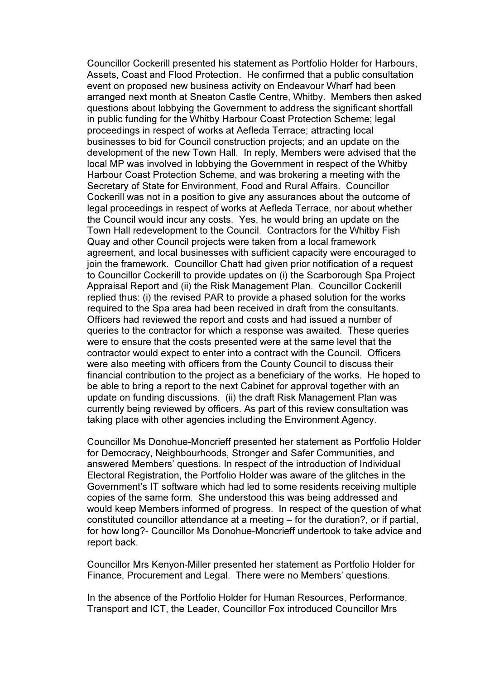Councillor Cockerill presented his statement as Portfolio Holder for Harbours, Assets, Coast and Flood Protection. He confirmed that a public consultation event on proposed new business activity on Endeavour Wharf had been arranged next month at Sneaton Castle Centre, Whitby. Members then asked questions about lobbying the Government to address the significant shortfall in public funding for the Whitby Harbour Coast Protection Scheme; legal proceedings in respect of works at Aefleda Terrace; attracting local businesses to bid for Council construction projects; and an update on the development of the new Town Hall. In reply, Members were advised that the local MP was involved in lobbying the Government in respect of the Whitby Harbour Coast Protection Scheme, and was brokering a meeting with the Secretary of State for Environment, Food and Rural Affairs. Councillor Cockerill was not in a position to give any assurances about the outcome of legal proceedings in respect of works at Aefleda Terrace, nor about whether the Council would incur any costs. Yes, he would bring an update on the Town Hall redevelopment to the Council. Contractors for the Whitby Fish Quay and other Council projects were taken from a local framework agreement, and local businesses with sufficient capacity were encouraged to join the framework. Councillor Chatt had given prior notification of a request to Councillor Cockerill to provide updates on (i) the Scarborough Spa Project Appraisal Report and (ii) the Risk Management Plan. Councillor Cockerill replied thus: (i) the revised PAR to provide a phased solution for the works required to the Spa area had been received in draft from the consultants. Officers had reviewed the report and costs and had issued a number of queries to the contractor for which a response was awaited. These queries were to ensure that the costs presented were at the same level that the contractor would expect to enter into a contract with the Council. Officers were also meeting with officers from the County Council to discuss their financial contribution to the project as a beneficiary of the works. He hoped to be able to bring a report to the next Cabinet for approval together with an update on funding discussions. (ii) the draft Risk Management Plan was currently being reviewed by officers. As part of this review consultation was taking place with other agencies including the Environment Agency.

Councillor Ms Donohue-Moncrieff presented her statement as Portfolio Holder for Democracy, Neighbourhoods, Stronger and Safer Communities, and answered Members' questions. In respect of the introduction of Individual Electoral Registration, the Portfolio Holder was aware of the glitches in the Government's IT software which had led to some residents receiving multiple copies of the same form. She understood this was being addressed and would keep Members informed of progress. In respect of the question of what constituted councillor attendance at a meeting – for the duration?, or if partial, for how long?- Councillor Ms Donohue-Moncrieff undertook to take advice and report back.

Councillor Mrs Kenyon-Miller presented her statement as Portfolio Holder for Finance, Procurement and Legal. There were no Members' questions.

In the absence of the Portfolio Holder for Human Resources, Performance, Transport and ICT, the Leader, Councillor Fox introduced Councillor Mrs